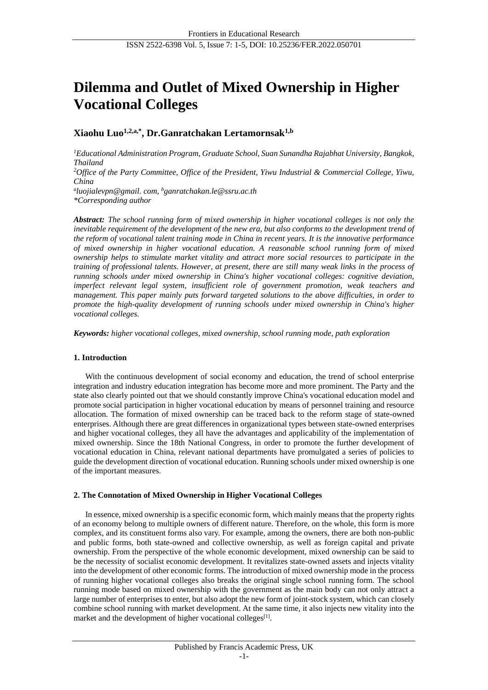# **Dilemma and Outlet of Mixed Ownership in Higher Vocational Colleges**

**Xiaohu Luo1,2,a,\*, Dr.Ganratchakan Lertamornsak1,b**

*<sup>1</sup>Educational Administration Program, Graduate School, Suan Sunandha Rajabhat University, Bangkok, Thailand*

*<sup>2</sup>Office of the Party Committee, Office of the President, Yiwu Industrial & Commercial College, Yiwu, China*

*a luojialevpn@gmail. com, <sup>b</sup>ganratchakan.le@ssru.ac.th \*Corresponding author*

*Abstract: The school running form of mixed ownership in higher vocational colleges is not only the inevitable requirement of the development of the new era, but also conforms to the development trend of the reform of vocational talent training mode in China in recent years. It is the innovative performance of mixed ownership in higher vocational education. A reasonable school running form of mixed ownership helps to stimulate market vitality and attract more social resources to participate in the training of professional talents. However, at present, there are still many weak links in the process of running schools under mixed ownership in China's higher vocational colleges: cognitive deviation, imperfect relevant legal system, insufficient role of government promotion, weak teachers and management. This paper mainly puts forward targeted solutions to the above difficulties, in order to promote the high-quality development of running schools under mixed ownership in China's higher vocational colleges.*

*Keywords: higher vocational colleges, mixed ownership, school running mode, path exploration*

## **1. Introduction**

With the continuous development of social economy and education, the trend of school enterprise integration and industry education integration has become more and more prominent. The Party and the state also clearly pointed out that we should constantly improve China's vocational education model and promote social participation in higher vocational education by means of personnel training and resource allocation. The formation of mixed ownership can be traced back to the reform stage of state-owned enterprises. Although there are great differences in organizational types between state-owned enterprises and higher vocational colleges, they all have the advantages and applicability of the implementation of mixed ownership. Since the 18th National Congress, in order to promote the further development of vocational education in China, relevant national departments have promulgated a series of policies to guide the development direction of vocational education. Running schools under mixed ownership is one of the important measures.

## **2. The Connotation of Mixed Ownership in Higher Vocational Colleges**

In essence, mixed ownership is a specific economic form, which mainly means that the property rights of an economy belong to multiple owners of different nature. Therefore, on the whole, this form is more complex, and its constituent forms also vary. For example, among the owners, there are both non-public and public forms, both state-owned and collective ownership, as well as foreign capital and private ownership. From the perspective of the whole economic development, mixed ownership can be said to be the necessity of socialist economic development. It revitalizes state-owned assets and injects vitality into the development of other economic forms. The introduction of mixed ownership mode in the process of running higher vocational colleges also breaks the original single school running form. The school running mode based on mixed ownership with the government as the main body can not only attract a large number of enterprises to enter, but also adopt the new form of joint-stock system, which can closely combine school running with market development. At the same time, it also injects new vitality into the market and the development of higher vocational colleges<sup>[1]</sup>.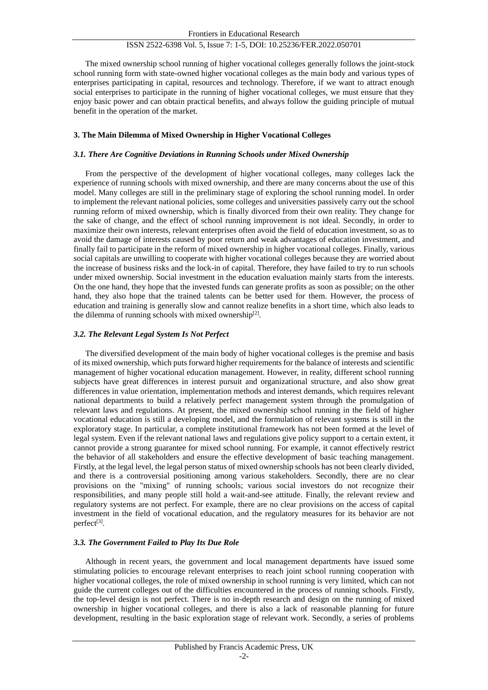The mixed ownership school running of higher vocational colleges generally follows the joint-stock school running form with state-owned higher vocational colleges as the main body and various types of enterprises participating in capital, resources and technology. Therefore, if we want to attract enough social enterprises to participate in the running of higher vocational colleges, we must ensure that they enjoy basic power and can obtain practical benefits, and always follow the guiding principle of mutual benefit in the operation of the market.

## **3. The Main Dilemma of Mixed Ownership in Higher Vocational Colleges**

## *3.1. There Are Cognitive Deviations in Running Schools under Mixed Ownership*

From the perspective of the development of higher vocational colleges, many colleges lack the experience of running schools with mixed ownership, and there are many concerns about the use of this model. Many colleges are still in the preliminary stage of exploring the school running model. In order to implement the relevant national policies, some colleges and universities passively carry out the school running reform of mixed ownership, which is finally divorced from their own reality. They change for the sake of change, and the effect of school running improvement is not ideal. Secondly, in order to maximize their own interests, relevant enterprises often avoid the field of education investment, so as to avoid the damage of interests caused by poor return and weak advantages of education investment, and finally fail to participate in the reform of mixed ownership in higher vocational colleges. Finally, various social capitals are unwilling to cooperate with higher vocational colleges because they are worried about the increase of business risks and the lock-in of capital. Therefore, they have failed to try to run schools under mixed ownership. Social investment in the education evaluation mainly starts from the interests. On the one hand, they hope that the invested funds can generate profits as soon as possible; on the other hand, they also hope that the trained talents can be better used for them. However, the process of education and training is generally slow and cannot realize benefits in a short time, which also leads to the dilemma of running schools with mixed ownership<sup>[2]</sup>.

## *3.2. The Relevant Legal System Is Not Perfect*

The diversified development of the main body of higher vocational colleges is the premise and basis of its mixed ownership, which puts forward higher requirements for the balance of interests and scientific management of higher vocational education management. However, in reality, different school running subjects have great differences in interest pursuit and organizational structure, and also show great differences in value orientation, implementation methods and interest demands, which requires relevant national departments to build a relatively perfect management system through the promulgation of relevant laws and regulations. At present, the mixed ownership school running in the field of higher vocational education is still a developing model, and the formulation of relevant systems is still in the exploratory stage. In particular, a complete institutional framework has not been formed at the level of legal system. Even if the relevant national laws and regulations give policy support to a certain extent, it cannot provide a strong guarantee for mixed school running. For example, it cannot effectively restrict the behavior of all stakeholders and ensure the effective development of basic teaching management. Firstly, at the legal level, the legal person status of mixed ownership schools has not been clearly divided, and there is a controversial positioning among various stakeholders. Secondly, there are no clear provisions on the "mixing" of running schools; various social investors do not recognize their responsibilities, and many people still hold a wait-and-see attitude. Finally, the relevant review and regulatory systems are not perfect. For example, there are no clear provisions on the access of capital investment in the field of vocational education, and the regulatory measures for its behavior are not perfect[3].

## *3.3. The Government Failed to Play Its Due Role*

Although in recent years, the government and local management departments have issued some stimulating policies to encourage relevant enterprises to reach joint school running cooperation with higher vocational colleges, the role of mixed ownership in school running is very limited, which can not guide the current colleges out of the difficulties encountered in the process of running schools. Firstly, the top-level design is not perfect. There is no in-depth research and design on the running of mixed ownership in higher vocational colleges, and there is also a lack of reasonable planning for future development, resulting in the basic exploration stage of relevant work. Secondly, a series of problems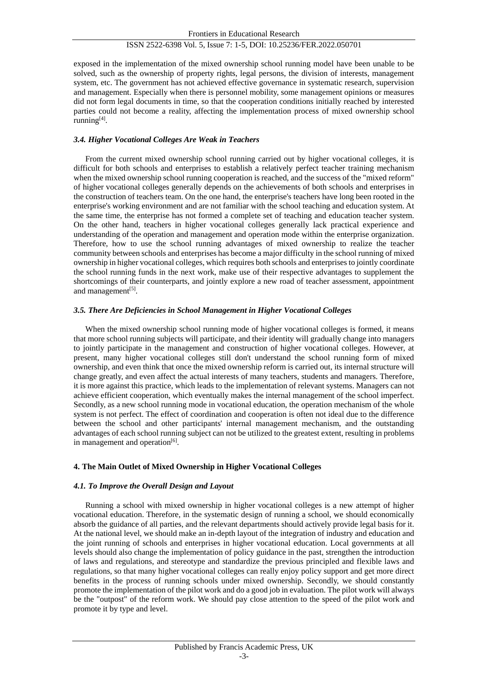exposed in the implementation of the mixed ownership school running model have been unable to be solved, such as the ownership of property rights, legal persons, the division of interests, management system, etc. The government has not achieved effective governance in systematic research, supervision and management. Especially when there is personnel mobility, some management opinions or measures did not form legal documents in time, so that the cooperation conditions initially reached by interested parties could not become a reality, affecting the implementation process of mixed ownership school running<sup>[4]</sup>.

## *3.4. Higher Vocational Colleges Are Weak in Teachers*

From the current mixed ownership school running carried out by higher vocational colleges, it is difficult for both schools and enterprises to establish a relatively perfect teacher training mechanism when the mixed ownership school running cooperation is reached, and the success of the "mixed reform" of higher vocational colleges generally depends on the achievements of both schools and enterprises in the construction of teachers team. On the one hand, the enterprise's teachers have long been rooted in the enterprise's working environment and are not familiar with the school teaching and education system. At the same time, the enterprise has not formed a complete set of teaching and education teacher system. On the other hand, teachers in higher vocational colleges generally lack practical experience and understanding of the operation and management and operation mode within the enterprise organization. Therefore, how to use the school running advantages of mixed ownership to realize the teacher community between schools and enterprises has become a major difficulty in the school running of mixed ownership in higher vocational colleges, which requires both schools and enterprises to jointly coordinate the school running funds in the next work, make use of their respective advantages to supplement the shortcomings of their counterparts, and jointly explore a new road of teacher assessment, appointment and management<sup>[5]</sup>.

#### *3.5. There Are Deficiencies in School Management in Higher Vocational Colleges*

When the mixed ownership school running mode of higher vocational colleges is formed, it means that more school running subjects will participate, and their identity will gradually change into managers to jointly participate in the management and construction of higher vocational colleges. However, at present, many higher vocational colleges still don't understand the school running form of mixed ownership, and even think that once the mixed ownership reform is carried out, its internal structure will change greatly, and even affect the actual interests of many teachers, students and managers. Therefore, it is more against this practice, which leads to the implementation of relevant systems. Managers can not achieve efficient cooperation, which eventually makes the internal management of the school imperfect. Secondly, as a new school running mode in vocational education, the operation mechanism of the whole system is not perfect. The effect of coordination and cooperation is often not ideal due to the difference between the school and other participants' internal management mechanism, and the outstanding advantages of each school running subject can not be utilized to the greatest extent, resulting in problems in management and operation<sup>[6]</sup>.

## **4. The Main Outlet of Mixed Ownership in Higher Vocational Colleges**

## *4.1. To Improve the Overall Design and Layout*

Running a school with mixed ownership in higher vocational colleges is a new attempt of higher vocational education. Therefore, in the systematic design of running a school, we should economically absorb the guidance of all parties, and the relevant departments should actively provide legal basis for it. At the national level, we should make an in-depth layout of the integration of industry and education and the joint running of schools and enterprises in higher vocational education. Local governments at all levels should also change the implementation of policy guidance in the past, strengthen the introduction of laws and regulations, and stereotype and standardize the previous principled and flexible laws and regulations, so that many higher vocational colleges can really enjoy policy support and get more direct benefits in the process of running schools under mixed ownership. Secondly, we should constantly promote the implementation of the pilot work and do a good job in evaluation. The pilot work will always be the "outpost" of the reform work. We should pay close attention to the speed of the pilot work and promote it by type and level.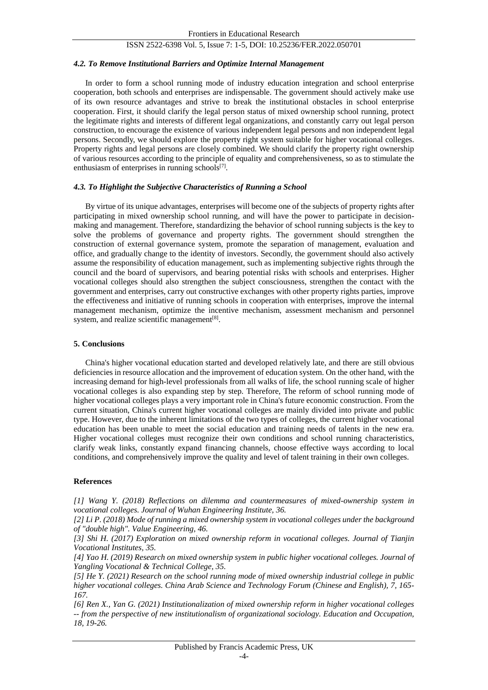#### *4.2. To Remove Institutional Barriers and Optimize Internal Management*

In order to form a school running mode of industry education integration and school enterprise cooperation, both schools and enterprises are indispensable. The government should actively make use of its own resource advantages and strive to break the institutional obstacles in school enterprise cooperation. First, it should clarify the legal person status of mixed ownership school running, protect the legitimate rights and interests of different legal organizations, and constantly carry out legal person construction, to encourage the existence of various independent legal persons and non independent legal persons. Secondly, we should explore the property right system suitable for higher vocational colleges. Property rights and legal persons are closely combined. We should clarify the property right ownership of various resources according to the principle of equality and comprehensiveness, so as to stimulate the enthusiasm of enterprises in running schools[7].

#### *4.3. To Highlight the Subjective Characteristics of Running a School*

By virtue of its unique advantages, enterprises will become one of the subjects of property rights after participating in mixed ownership school running, and will have the power to participate in decisionmaking and management. Therefore, standardizing the behavior of school running subjects is the key to solve the problems of governance and property rights. The government should strengthen the construction of external governance system, promote the separation of management, evaluation and office, and gradually change to the identity of investors. Secondly, the government should also actively assume the responsibility of education management, such as implementing subjective rights through the council and the board of supervisors, and bearing potential risks with schools and enterprises. Higher vocational colleges should also strengthen the subject consciousness, strengthen the contact with the government and enterprises, carry out constructive exchanges with other property rights parties, improve the effectiveness and initiative of running schools in cooperation with enterprises, improve the internal management mechanism, optimize the incentive mechanism, assessment mechanism and personnel system, and realize scientific management<sup>[8]</sup>.

#### **5. Conclusions**

China's higher vocational education started and developed relatively late, and there are still obvious deficiencies in resource allocation and the improvement of education system. On the other hand, with the increasing demand for high-level professionals from all walks of life, the school running scale of higher vocational colleges is also expanding step by step. Therefore, The reform of school running mode of higher vocational colleges plays a very important role in China's future economic construction. From the current situation, China's current higher vocational colleges are mainly divided into private and public type. However, due to the inherent limitations of the two types of colleges, the current higher vocational education has been unable to meet the social education and training needs of talents in the new era. Higher vocational colleges must recognize their own conditions and school running characteristics, clarify weak links, constantly expand financing channels, choose effective ways according to local conditions, and comprehensively improve the quality and level of talent training in their own colleges.

#### **References**

*[1] Wang Y. (2018) Reflections on dilemma and countermeasures of mixed-ownership system in vocational colleges. Journal of Wuhan Engineering Institute, 36.*

*[2] Li P. (2018) Mode of running a mixed ownership system in vocational colleges under the background of "double high". Value Engineering, 46.*

*[3] Shi H. (2017) Exploration on mixed ownership reform in vocational colleges. Journal of Tianjin Vocational Institutes, 35.*

*[4] Yao H. (2019) Research on mixed ownership system in public higher vocational colleges. Journal of Yangling Vocational & Technical College, 35.*

*[5] He Y. (2021) Research on the school running mode of mixed ownership industrial college in public higher vocational colleges. China Arab Science and Technology Forum (Chinese and English), 7, 165- 167.*

*[6] Ren X., Yan G. (2021) Institutionalization of mixed ownership reform in higher vocational colleges -- from the perspective of new institutionalism of organizational sociology. Education and Occupation, 18, 19-26.*